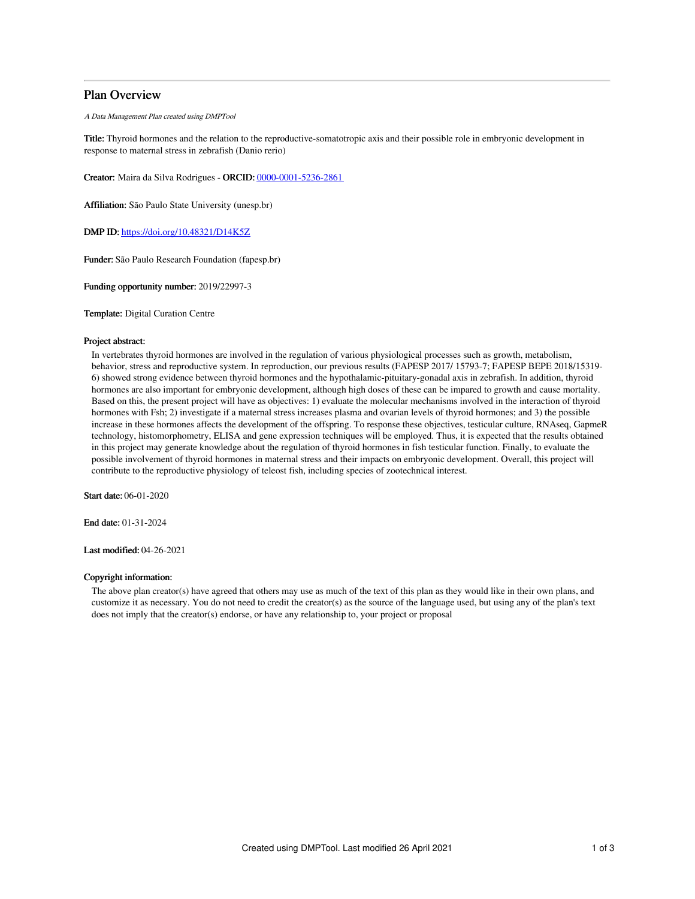## Plan Overview

A Data Management Plan created using DMPTool

Title: Thyroid hormones and the relation to the reproductive-somatotropic axis and their possible role in embryonic development in response to maternal stress in zebrafish (Danio rerio)

Creator: Maira da Silva Rodrigues - ORCID: [0000-0001-5236-2861](https://orcid.org/0000-0001-5236-2861)

Affiliation: São Paulo State University (unesp.br)

DMP ID: <https://doi.org/10.48321/D14K5Z>

Funder: São Paulo Research Foundation (fapesp.br)

Funding opportunity number: 2019/22997-3

Template: Digital Curation Centre

#### Project abstract:

In vertebrates thyroid hormones are involved in the regulation of various physiological processes such as growth, metabolism, behavior, stress and reproductive system. In reproduction, our previous results (FAPESP 2017/ 15793-7; FAPESP BEPE 2018/15319- 6) showed strong evidence between thyroid hormones and the hypothalamic-pituitary-gonadal axis in zebrafish. In addition, thyroid hormones are also important for embryonic development, although high doses of these can be impared to growth and cause mortality. Based on this, the present project will have as objectives: 1) evaluate the molecular mechanisms involved in the interaction of thyroid hormones with Fsh; 2) investigate if a maternal stress increases plasma and ovarian levels of thyroid hormones; and 3) the possible increase in these hormones affects the development of the offspring. To response these objectives, testicular culture, RNAseq, GapmeR technology, histomorphometry, ELISA and gene expression techniques will be employed. Thus, it is expected that the results obtained in this project may generate knowledge about the regulation of thyroid hormones in fish testicular function. Finally, to evaluate the possible involvement of thyroid hormones in maternal stress and their impacts on embryonic development. Overall, this project will contribute to the reproductive physiology of teleost fish, including species of zootechnical interest.

Start date: 06-01-2020

End date: 01-31-2024

Last modified: 04-26-2021

### Copyright information:

The above plan creator(s) have agreed that others may use as much of the text of this plan as they would like in their own plans, and customize it as necessary. You do not need to credit the creator(s) as the source of the language used, but using any of the plan's text does not imply that the creator(s) endorse, or have any relationship to, your project or proposal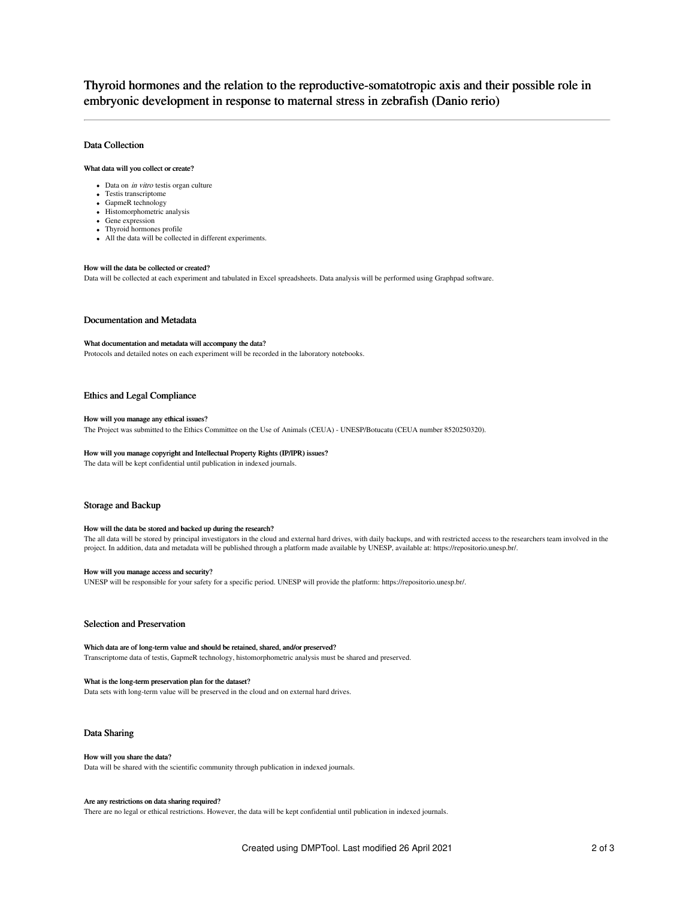# Thyroid hormones and the relation to the reproductive-somatotropic axis and their possible role in embryonic development in response to maternal stress in zebrafish (Danio rerio)

## Data Collection

### What data will you collect or create?

- Data on *in vitro* testis organ culture
- Testis transcriptome
- GapmeR technology
- Histomorphometric analysis
- Gene expression
- Thyroid hormones profile All the data will be collected in different experiments.

### How will the data be collected or created?

Data will be collected at each experiment and tabulated in Excel spreadsheets. Data analysis will be performed using Graphpad software.

#### Documentation and Metadata

### What documentation and metadata will accompany the data?

Protocols and detailed notes on each experiment will be recorded in the laboratory notebooks.

### Ethics and Legal Compliance

#### How will you manage any ethical issues?

The Project was submitted to the Ethics Committee on the Use of Animals (CEUA) - UNESP/Botucatu (CEUA number 8520250320).

## How will you manage copyright and Intellectual Property Rights (IP/IPR) issues?

The data will be kept confidential until publication in indexed journals.

### Storage and Backup

#### How will the data be stored and backed up during the research?

The all data will be stored by principal investigators in the cloud and external hard drives, with daily backups, and with restricted access to the researchers team involved in the project. In addition, data and metadata will be published through a platform made available by UNESP, available at: https://repositorio.unesp.br/.

#### How will you manage access and security?

UNESP will be responsible for your safety for a specific period. UNESP will provide the platform: https://repositorio.unesp.br/.

## Selection and Preservation

Which data are of long-term value and should be retained, shared, and/or preserved? Transcriptome data of testis, GapmeR technology, histomorphometric analysis must be shared and preserved.

#### What is the long-term preservation plan for the dataset?

Data sets with long-term value will be preserved in the cloud and on external hard drives.

#### Data Sharing

#### How will you share the data?

Data will be shared with the scientific community through publication in indexed journals.

#### Are any restrictions on data sharing required?

There are no legal or ethical restrictions. However, the data will be kept confidential until publication in indexed journals.